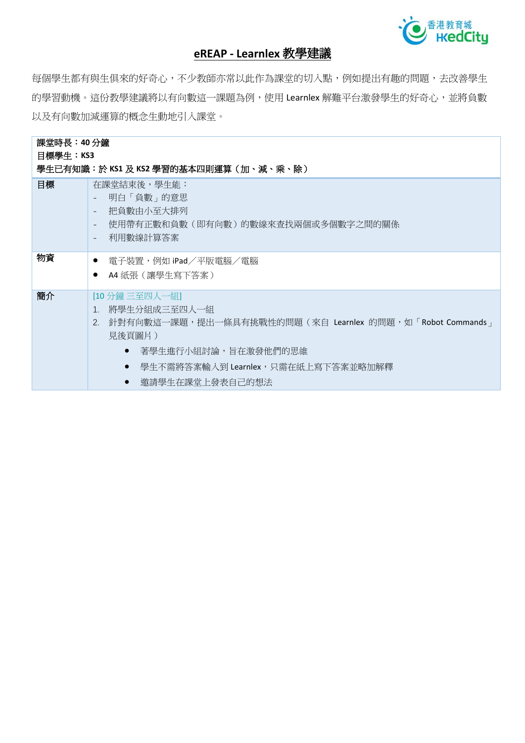

## **eREAP - Learnlex** 教學建議

每個學生都有與生俱來的好奇心,不少教師亦常以此作為課堂的切入點,例如提出有趣的問題,去改善學生 的學習動機。這份教學建議將以有向數這一課題為例,使用 Learnlex 解難平台激發學生的好奇心,並將負數 以及有向數加減運算的概念生動地引入課堂。

| 課堂時長:40 分鐘                            |                                                                                                                                                                                                     |  |  |  |
|---------------------------------------|-----------------------------------------------------------------------------------------------------------------------------------------------------------------------------------------------------|--|--|--|
| 目標學生:KS3                              |                                                                                                                                                                                                     |  |  |  |
| 學生已有知識:於 KS1 及 KS2 學習的基本四則運算(加、減、乘、除) |                                                                                                                                                                                                     |  |  |  |
| 目標                                    | 在課堂結束後,學生能:<br>明白「負數」的意思<br>把負數由小至大排列<br>$\overline{\phantom{a}}$<br>使用帶有正數和負數(即有向數)的數線來查找兩個或多個數字之間的關係<br>$\overline{\phantom{a}}$<br>利用數線計算答案<br>$\overline{\phantom{a}}$                          |  |  |  |
| 物資                                    | - 電子裝置,例如 iPad/平版電腦/電腦<br>$\bullet$<br>A4 紙張 (讓學生寫下答案)                                                                                                                                              |  |  |  |
| 簡介                                    | [10 分鐘 三至四人一組]<br>將學生分組成三至四人一組<br>$\mathbf{1}$ .<br>2. 針對有向數這一課題,提出一條具有挑戰性的問題(來自 Learnlex 的問題,如「Robot Commands」<br>見後頁圖片)<br>著學生進行小組討論,旨在激發他們的思維<br>$\bullet$<br>學生不需將答案輸入到 Learnlex,只需在紙上寫下答案並略加解釋 |  |  |  |
|                                       | 邀請學生在課堂上發表自己的想法                                                                                                                                                                                     |  |  |  |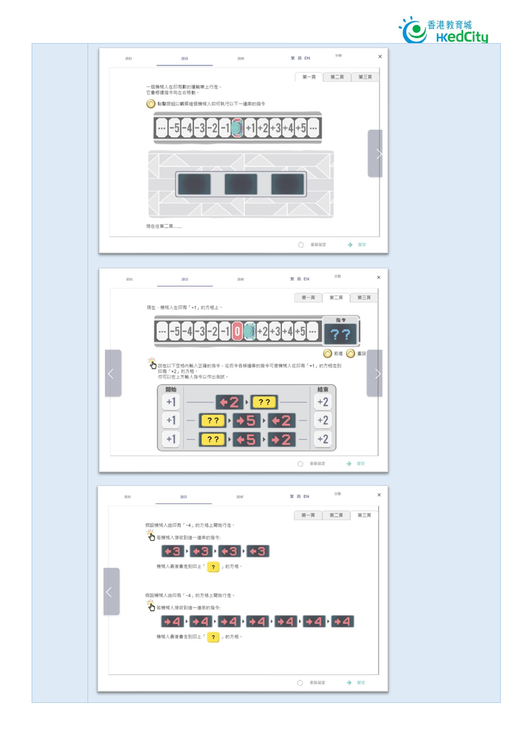





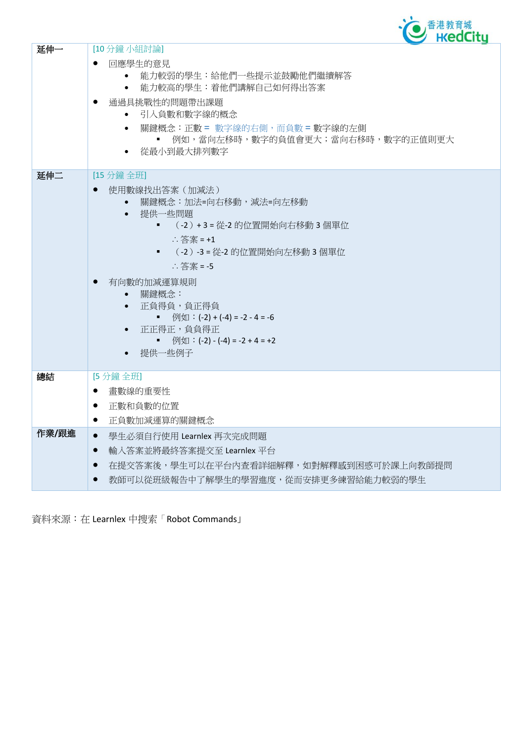

| 延伸一   | [10分鐘小組討論]<br>回應學生的意見<br>能力較弱的學生:給他們一些提示並鼓勵他們繼續解答<br>$\bullet$<br>能力較高的學生:着他們講解自己如何得出答案<br>$\bullet$<br>通過具挑戰性的問題帶出課題<br>引入負數和數字線的概念<br>關鍵概念:正數 = 數字線的右側,而負數 = 數字線的左側<br>$\bullet$<br>例如,當向左移時,數字的負值會更大;當向右移時,數字的正值則更大<br>٠<br>從最小到最大排列數字                                                           |
|-------|-----------------------------------------------------------------------------------------------------------------------------------------------------------------------------------------------------------------------------------------------------------------------------------------------------|
| 延伸二   | [15 分鐘 全班]<br>使用數線找出答案 (加減法)<br>關鍵概念:加法=向右移動,減法=向左移動<br>提供一些問題<br>$\bullet$<br>(-2) +3=從-2的位置開始向右移動3個單位<br>$\therefore$ 答案 = +1<br>(-2)-3=從-2的位置開始向左移動3個單位<br>:答案 = -5<br>有向數的加減運算規則<br>關鍵概念:<br>正負得負,負正得負<br>例如:(-2) + (-4) = -2 - 4 = -6<br>正正得正,負負得正<br>■ 例如:(-2) - (-4) = -2 + 4 = +2<br>提供一些例子 |
| 總結    | [5分鐘全班]<br>書數線的重要性<br>$\bullet$<br>正數和負數的位置<br>$\bullet$<br>正負數加減運算的關鍵概念<br>$\bullet$                                                                                                                                                                                                               |
| 作業/跟進 | 學生必須自行使用 Learnlex 再次完成問題<br>$\bullet$<br>輸入答案並將最終答案提交至 Learnlex 平台<br>$\bullet$<br>在提交答案後,學生可以在平台內查看詳細解釋,如對解釋感到困惑可於課上向教師提問<br>$\bullet$<br>教師可以從班級報告中了解學生的學習進度,從而安排更多練習給能力較弱的學生                                                                                                                     |

資料來源:在 Learnlex 中搜索「Robot Commands」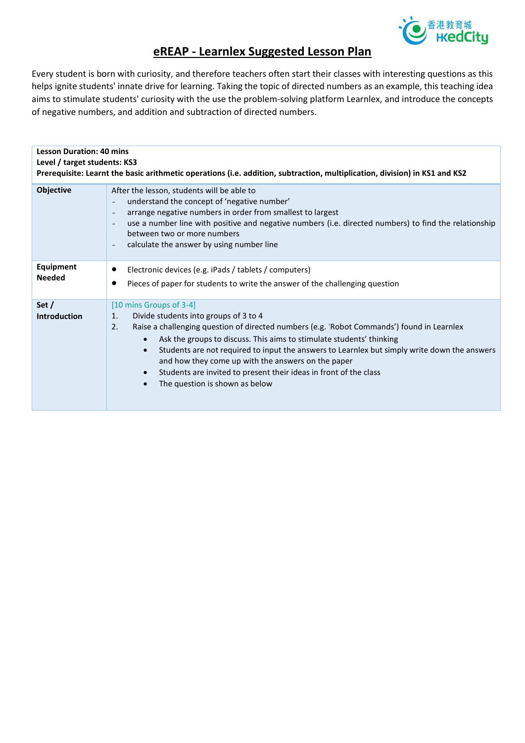

## **eREAP - Learnlex Suggested Lesson Plan**

Every student is born with curiosity, and therefore teachers often start their classes with interesting questions as this helps ignite students' innate drive for learning. Taking the topic of directed numbers as an example, this teaching idea aims to stimulate students' curiosity with the use the problem-solving platform Learnlex, and introduce the concepts of negative numbers, and addition and subtraction of directed numbers.

| <b>Lesson Duration: 40 mins</b><br>Level / target students: KS3<br>Prerequisite: Learnt the basic arithmetic operations (i.e. addition, subtraction, multiplication, division) in KS1 and KS2 |                                                                                                                                                                                                                                                                                                                                                                                                                                                                                                                              |  |
|-----------------------------------------------------------------------------------------------------------------------------------------------------------------------------------------------|------------------------------------------------------------------------------------------------------------------------------------------------------------------------------------------------------------------------------------------------------------------------------------------------------------------------------------------------------------------------------------------------------------------------------------------------------------------------------------------------------------------------------|--|
| Objective                                                                                                                                                                                     | After the lesson, students will be able to<br>understand the concept of 'negative number'<br>arrange negative numbers in order from smallest to largest<br>use a number line with positive and negative numbers (i.e. directed numbers) to find the relationship<br>between two or more numbers<br>calculate the answer by using number line                                                                                                                                                                                 |  |
| Equipment<br><b>Needed</b>                                                                                                                                                                    | Electronic devices (e.g. iPads / tablets / computers)<br>Pieces of paper for students to write the answer of the challenging question                                                                                                                                                                                                                                                                                                                                                                                        |  |
| Set $/$<br><b>Introduction</b>                                                                                                                                                                | [10 mins Groups of 3-4]<br>Divide students into groups of 3 to 4<br>1.<br>Raise a challenging question of directed numbers (e.g. 'Robot Commands') found in Learnlex<br>2.<br>Ask the groups to discuss. This aims to stimulate students' thinking<br>Students are not required to input the answers to Learnlex but simply write down the answers<br>$\bullet$<br>and how they come up with the answers on the paper<br>Students are invited to present their ideas in front of the class<br>The question is shown as below |  |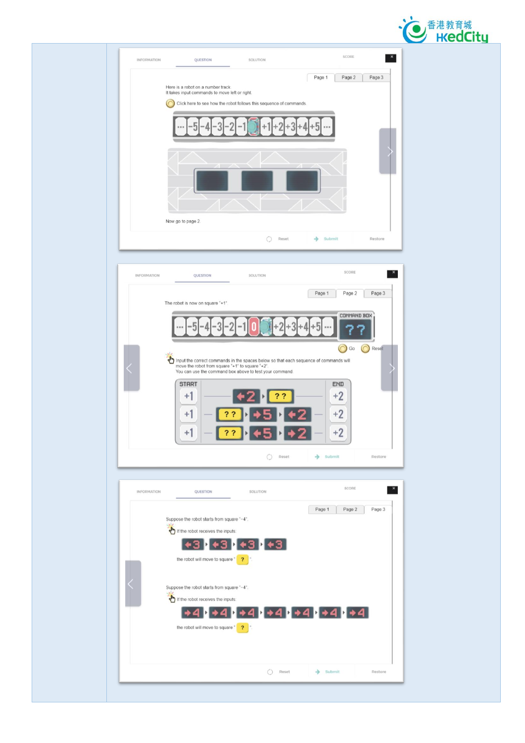